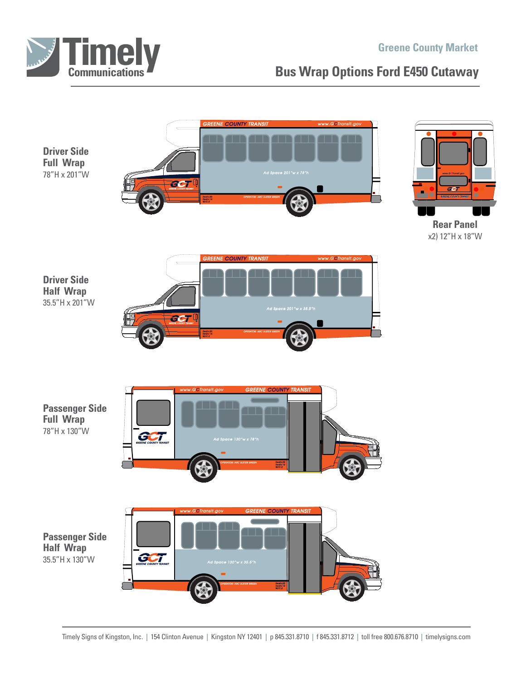

## **Greene County Market**

## **Bus Wrap Options Ford E450 Cutaway**

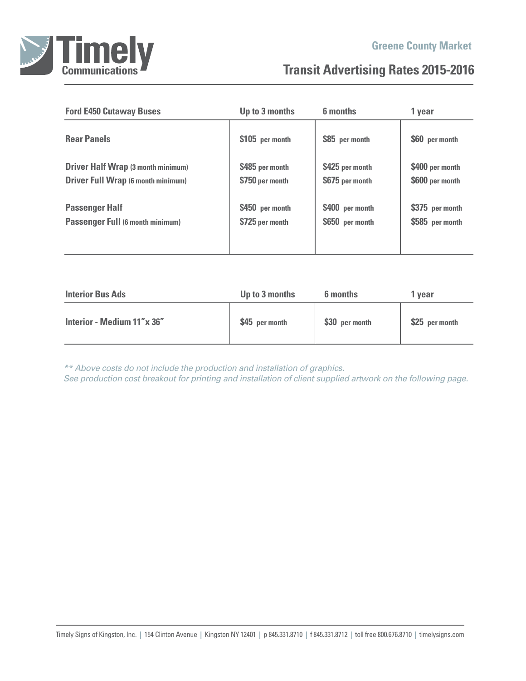

## **Transit Advertising Rates 2015-2016**

| <b>Ford E450 Cutaway Buses</b>            | Up to 3 months  | 6 months        | 1 year          |  |
|-------------------------------------------|-----------------|-----------------|-----------------|--|
| <b>Rear Panels</b>                        | \$105 per month | \$85 per month  | \$60 per month  |  |
| <b>Driver Half Wrap (3 month minimum)</b> | \$485 per month | \$425 per month | \$400 per month |  |
| <b>Driver Full Wrap (6 month minimum)</b> | \$750 per month | \$675 per month | \$600 per month |  |
| <b>Passenger Half</b>                     | \$450 per month | \$400 per month | \$375 per month |  |
| <b>Passenger Full (6 month minimum)</b>   | \$725 per month | \$650 per month | \$585 per month |  |

| <b>Interior Bus Ads</b>    | Up to 3 months | 6 months       | 1 vear         |
|----------------------------|----------------|----------------|----------------|
| Interior - Medium 11"x 36" | \$45 per month | \$30 per month | \$25 per month |
|                            |                |                |                |

*\*\* Above costs do not include the production and installation of graphics. See production cost breakout for printing and installation of client supplied artwork on the following page.*